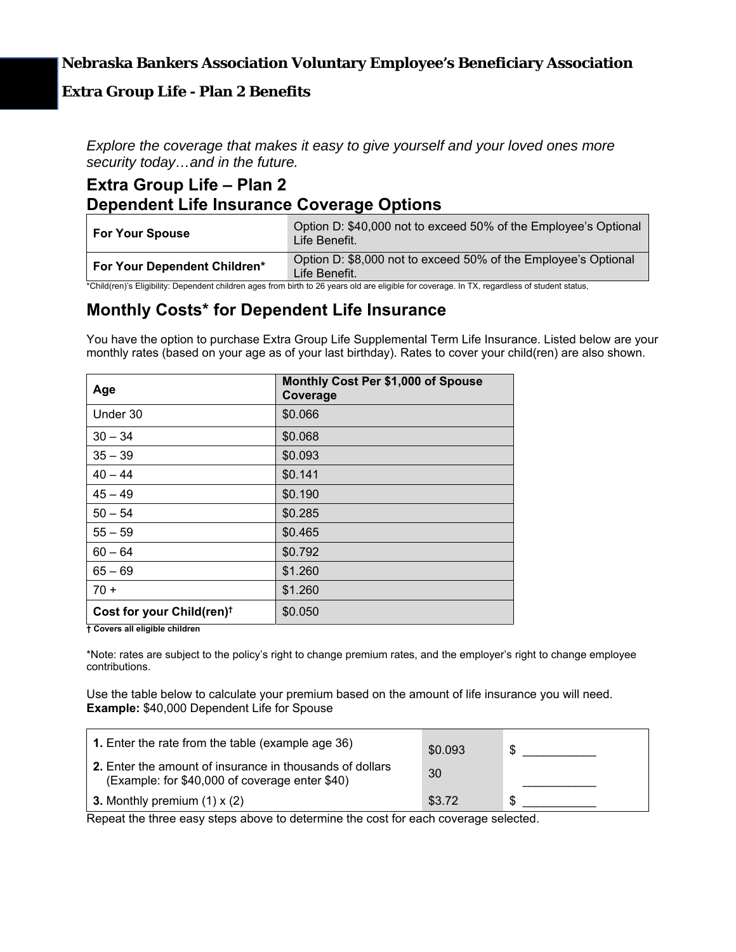### **Nebraska Bankers Association Voluntary Employee's Beneficiary Association**

### **Extra Group Life - Plan 2 Benefits**

*Explore the coverage that makes it easy to give yourself and your loved ones more security today…and in the future.* 

### **Extra Group Life – Plan 2 Dependent Life Insurance Coverage Options**

| <b>For Your Spouse</b>       | Option D: \$40,000 not to exceed 50% of the Employee's Optional<br>Life Benefit. |
|------------------------------|----------------------------------------------------------------------------------|
| For Your Dependent Children* | Option D: \$8,000 not to exceed 50% of the Employee's Optional<br>Life Benefit.  |

\*Child(ren)'s Eligibility: Dependent children ages from birth to 26 years old are eligible for coverage. In TX, regardless of student status,

### **Monthly Costs\* for Dependent Life Insurance**

You have the option to purchase Extra Group Life Supplemental Term Life Insurance. Listed below are your monthly rates (based on your age as of your last birthday). Rates to cover your child(ren) are also shown.

| Age                                   | Monthly Cost Per \$1,000 of Spouse<br>Coverage |  |
|---------------------------------------|------------------------------------------------|--|
| Under 30                              | \$0.066                                        |  |
| $30 - 34$                             | \$0.068                                        |  |
| $35 - 39$                             | \$0.093                                        |  |
| $40 - 44$                             | \$0.141                                        |  |
| $45 - 49$                             | \$0.190                                        |  |
| $50 - 54$                             | \$0.285                                        |  |
| $55 - 59$                             | \$0.465                                        |  |
| $60 - 64$                             | \$0.792                                        |  |
| $65 - 69$                             | \$1.260                                        |  |
| $70 +$                                | \$1.260                                        |  |
| Cost for your Child(ren) <sup>†</sup> | \$0.050                                        |  |

**† Covers all eligible children** 

\*Note: rates are subject to the policy's right to change premium rates, and the employer's right to change employee contributions.

Use the table below to calculate your premium based on the amount of life insurance you will need. **Example:** \$40,000 Dependent Life for Spouse

| <b>1.</b> Enter the rate from the table (example age 36)                                                          | \$0.093 | \$ |
|-------------------------------------------------------------------------------------------------------------------|---------|----|
| <b>2.</b> Enter the amount of insurance in thousands of dollars<br>(Example: for \$40,000 of coverage enter \$40) | 30      |    |
| <b>3.</b> Monthly premium $(1) \times (2)$                                                                        | \$3.72  | \$ |

Repeat the three easy steps above to determine the cost for each coverage selected.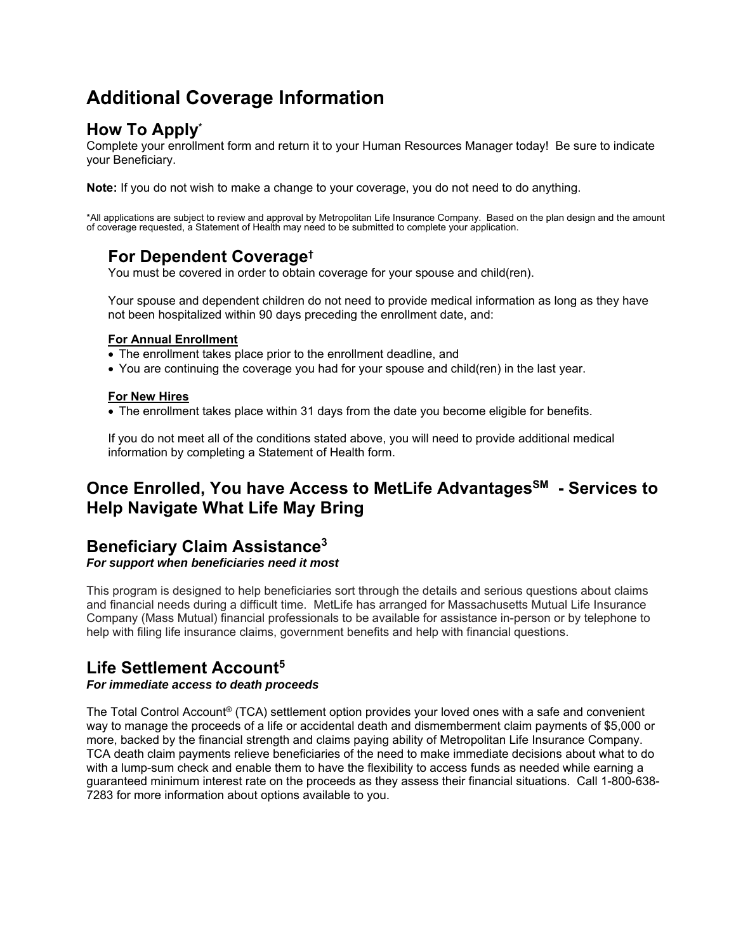# **Additional Coverage Information**

# **How To Apply\***

Complete your enrollment form and return it to your Human Resources Manager today! Be sure to indicate your Beneficiary.

**Note:** If you do not wish to make a change to your coverage, you do not need to do anything.

\*All applications are subject to review and approval by Metropolitan Life Insurance Company. Based on the plan design and the amount<br>of coverage requested, a Statement of Health may need to be submitted to complete your a

### **For Dependent Coverage†**

You must be covered in order to obtain coverage for your spouse and child(ren).

Your spouse and dependent children do not need to provide medical information as long as they have not been hospitalized within 90 days preceding the enrollment date, and:

#### **For Annual Enrollment**

- The enrollment takes place prior to the enrollment deadline, and
- You are continuing the coverage you had for your spouse and child(ren) in the last year.

#### **For New Hires**

The enrollment takes place within 31 days from the date you become eligible for benefits.

If you do not meet all of the conditions stated above, you will need to provide additional medical information by completing a Statement of Health form.

## **Once Enrolled, You have Access to MetLife Advantages<sup>SM</sup> - Services to Help Navigate What Life May Bring**

## **Beneficiary Claim Assistance3**

*For support when beneficiaries need it most* 

This program is designed to help beneficiaries sort through the details and serious questions about claims and financial needs during a difficult time. MetLife has arranged for Massachusetts Mutual Life Insurance Company (Mass Mutual) financial professionals to be available for assistance in-person or by telephone to help with filing life insurance claims, government benefits and help with financial questions.

## **Life Settlement Account5**

#### *For immediate access to death proceeds*

The Total Control Account® (TCA) settlement option provides your loved ones with a safe and convenient way to manage the proceeds of a life or accidental death and dismemberment claim payments of \$5,000 or more, backed by the financial strength and claims paying ability of Metropolitan Life Insurance Company. TCA death claim payments relieve beneficiaries of the need to make immediate decisions about what to do with a lump-sum check and enable them to have the flexibility to access funds as needed while earning a guaranteed minimum interest rate on the proceeds as they assess their financial situations. Call 1-800-638- 7283 for more information about options available to you.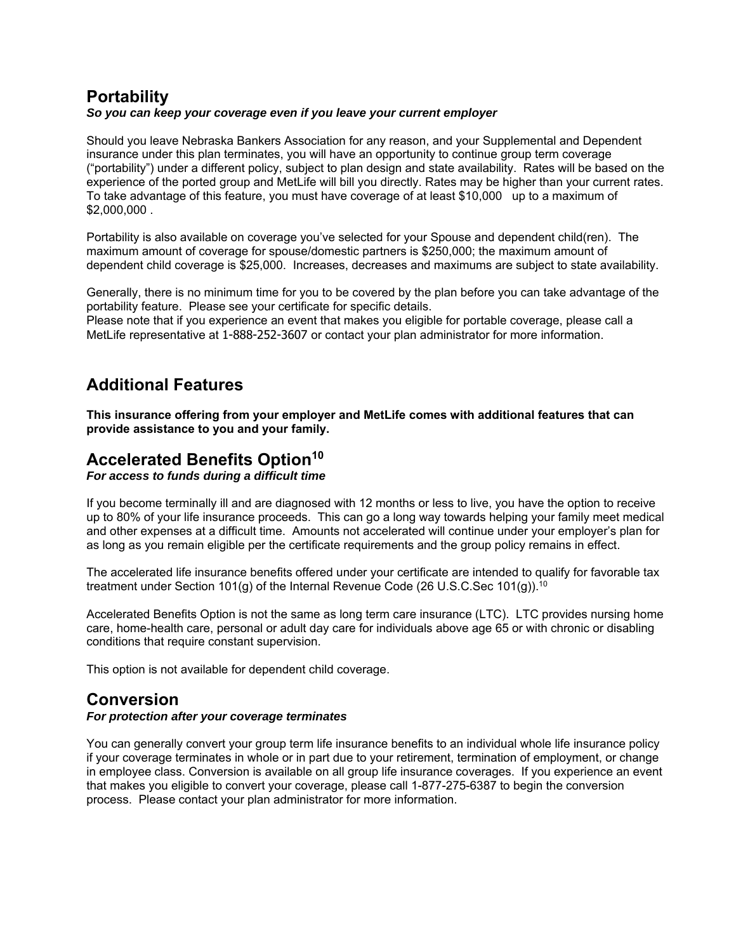### **Portability**  *So you can keep your coverage even if you leave your current employer*

Should you leave Nebraska Bankers Association for any reason, and your Supplemental and Dependent insurance under this plan terminates, you will have an opportunity to continue group term coverage ("portability") under a different policy, subject to plan design and state availability. Rates will be based on the experience of the ported group and MetLife will bill you directly. Rates may be higher than your current rates. To take advantage of this feature, you must have coverage of at least \$10,000 up to a maximum of \$2,000,000 .

Portability is also available on coverage you've selected for your Spouse and dependent child(ren). The maximum amount of coverage for spouse/domestic partners is \$250,000; the maximum amount of dependent child coverage is \$25,000. Increases, decreases and maximums are subject to state availability.

Generally, there is no minimum time for you to be covered by the plan before you can take advantage of the portability feature. Please see your certificate for specific details.

Please note that if you experience an event that makes you eligible for portable coverage, please call a MetLife representative at 1-888-252-3607 or contact your plan administrator for more information.

## **Additional Features**

**This insurance offering from your employer and MetLife comes with additional features that can provide assistance to you and your family.** 

### **Accelerated Benefits Option<sup>10</sup>**

*For access to funds during a difficult time* 

If you become terminally ill and are diagnosed with 12 months or less to live, you have the option to receive up to 80% of your life insurance proceeds. This can go a long way towards helping your family meet medical and other expenses at a difficult time. Amounts not accelerated will continue under your employer's plan for as long as you remain eligible per the certificate requirements and the group policy remains in effect.

The accelerated life insurance benefits offered under your certificate are intended to qualify for favorable tax treatment under Section 101(g) of the Internal Revenue Code (26 U.S.C.Sec 101(g)).<sup>10</sup>

Accelerated Benefits Option is not the same as long term care insurance (LTC). LTC provides nursing home care, home-health care, personal or adult day care for individuals above age 65 or with chronic or disabling conditions that require constant supervision.

This option is not available for dependent child coverage.

## **Conversion**

#### *For protection after your coverage terminates*

You can generally convert your group term life insurance benefits to an individual whole life insurance policy if your coverage terminates in whole or in part due to your retirement, termination of employment, or change in employee class. Conversion is available on all group life insurance coverages. If you experience an event that makes you eligible to convert your coverage, please call 1-877-275-6387 to begin the conversion process. Please contact your plan administrator for more information.